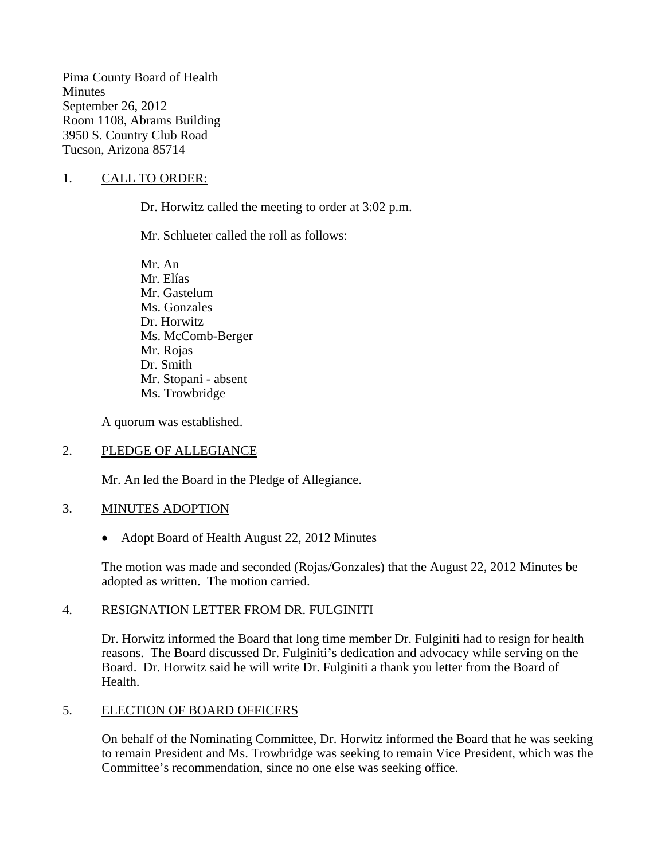Pima County Board of Health **Minutes** September 26, 2012 Room 1108, Abrams Building 3950 S. Country Club Road Tucson, Arizona 85714

### 1. CALL TO ORDER:

Dr. Horwitz called the meeting to order at 3:02 p.m.

Mr. Schlueter called the roll as follows:

Mr. An Mr. Elías Mr. Gastelum Ms. Gonzales Dr. Horwitz Ms. McComb-Berger Mr. Rojas Dr. Smith Mr. Stopani - absent Ms. Trowbridge

A quorum was established.

### 2. PLEDGE OF ALLEGIANCE

Mr. An led the Board in the Pledge of Allegiance.

### 3. MINUTES ADOPTION

• Adopt Board of Health August 22, 2012 Minutes

The motion was made and seconded (Rojas/Gonzales) that the August 22, 2012 Minutes be adopted as written. The motion carried.

#### 4. RESIGNATION LETTER FROM DR. FULGINITI

Dr. Horwitz informed the Board that long time member Dr. Fulginiti had to resign for health reasons. The Board discussed Dr. Fulginiti's dedication and advocacy while serving on the Board. Dr. Horwitz said he will write Dr. Fulginiti a thank you letter from the Board of Health.

### 5. ELECTION OF BOARD OFFICERS

On behalf of the Nominating Committee, Dr. Horwitz informed the Board that he was seeking to remain President and Ms. Trowbridge was seeking to remain Vice President, which was the Committee's recommendation, since no one else was seeking office.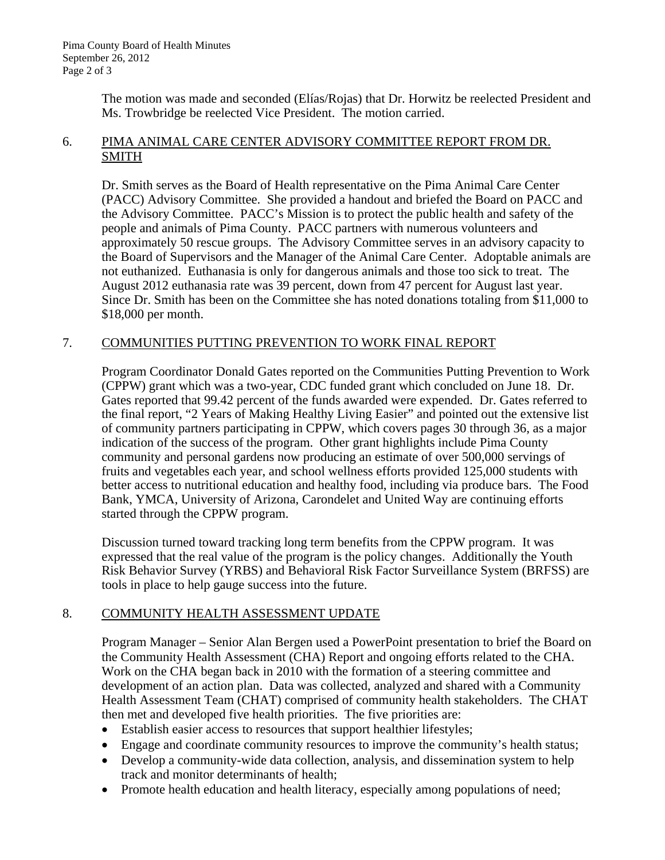The motion was made and seconded (Elías/Rojas) that Dr. Horwitz be reelected President and Ms. Trowbridge be reelected Vice President. The motion carried.

### 6. PIMA ANIMAL CARE CENTER ADVISORY COMMITTEE REPORT FROM DR. SMITH

Dr. Smith serves as the Board of Health representative on the Pima Animal Care Center (PACC) Advisory Committee. She provided a handout and briefed the Board on PACC and the Advisory Committee. PACC's Mission is to protect the public health and safety of the people and animals of Pima County. PACC partners with numerous volunteers and approximately 50 rescue groups. The Advisory Committee serves in an advisory capacity to the Board of Supervisors and the Manager of the Animal Care Center. Adoptable animals are not euthanized. Euthanasia is only for dangerous animals and those too sick to treat. The August 2012 euthanasia rate was 39 percent, down from 47 percent for August last year. Since Dr. Smith has been on the Committee she has noted donations totaling from \$11,000 to \$18,000 per month.

### 7. COMMUNITIES PUTTING PREVENTION TO WORK FINAL REPORT

Program Coordinator Donald Gates reported on the Communities Putting Prevention to Work (CPPW) grant which was a two-year, CDC funded grant which concluded on June 18. Dr. Gates reported that 99.42 percent of the funds awarded were expended. Dr. Gates referred to the final report, "2 Years of Making Healthy Living Easier" and pointed out the extensive list of community partners participating in CPPW, which covers pages 30 through 36, as a major indication of the success of the program. Other grant highlights include Pima County community and personal gardens now producing an estimate of over 500,000 servings of fruits and vegetables each year, and school wellness efforts provided 125,000 students with better access to nutritional education and healthy food, including via produce bars. The Food Bank, YMCA, University of Arizona, Carondelet and United Way are continuing efforts started through the CPPW program.

Discussion turned toward tracking long term benefits from the CPPW program. It was expressed that the real value of the program is the policy changes. Additionally the Youth Risk Behavior Survey (YRBS) and Behavioral Risk Factor Surveillance System (BRFSS) are tools in place to help gauge success into the future.

## 8. COMMUNITY HEALTH ASSESSMENT UPDATE

Program Manager – Senior Alan Bergen used a PowerPoint presentation to brief the Board on the Community Health Assessment (CHA) Report and ongoing efforts related to the CHA. Work on the CHA began back in 2010 with the formation of a steering committee and development of an action plan. Data was collected, analyzed and shared with a Community Health Assessment Team (CHAT) comprised of community health stakeholders. The CHAT then met and developed five health priorities. The five priorities are:

- Establish easier access to resources that support healthier lifestyles;
- Engage and coordinate community resources to improve the community's health status;
- Develop a community-wide data collection, analysis, and dissemination system to help track and monitor determinants of health;
- Promote health education and health literacy, especially among populations of need;